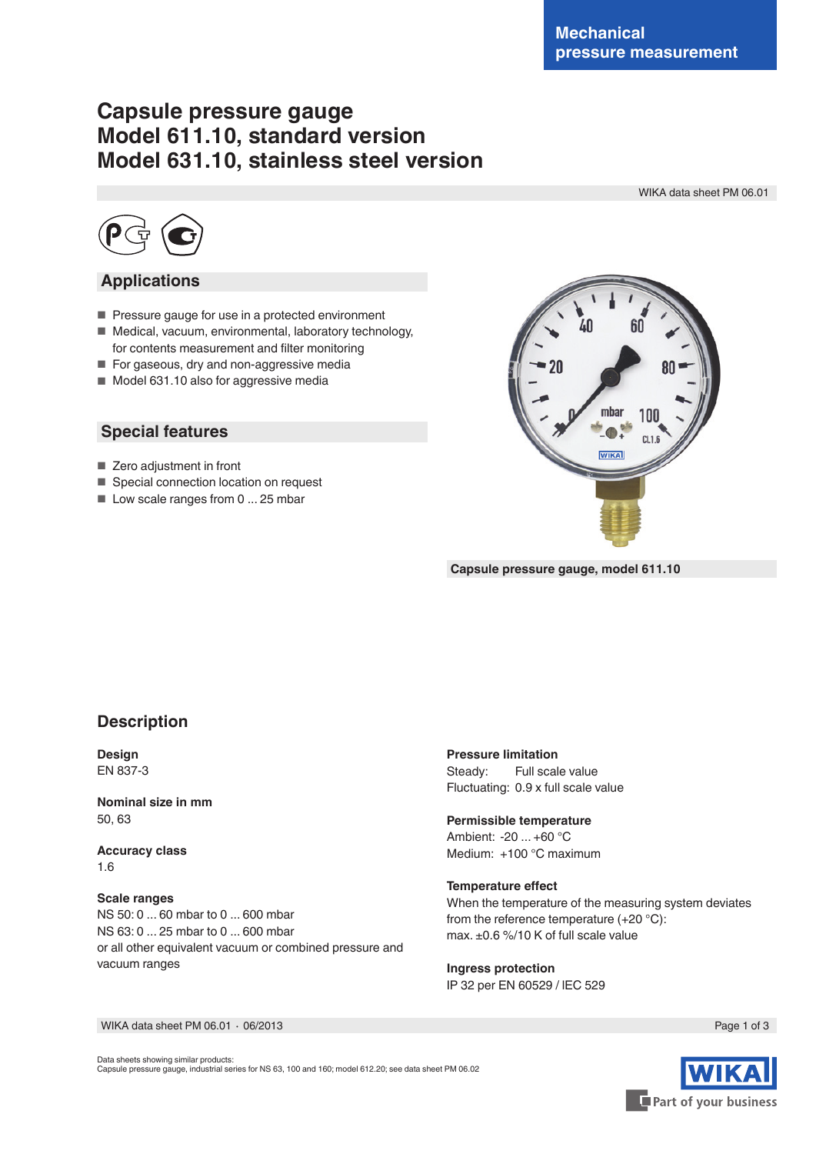# **Capsule pressure gauge Model 611.10, standard version Model 631.10, stainless steel version**

WIKA data sheet PM 06.01



### **Applications**

- Pressure gauge for use in a protected environment
- Medical, vacuum, environmental, laboratory technology, for contents measurement and filter monitoring
- For gaseous, dry and non-aggressive media
- Model 631.10 also for aggressive media

### **Special features**

- Zero adjustment in front
- Special connection location on request
- Low scale ranges from 0 ... 25 mbar



**Capsule pressure gauge, model 611.10**

### **Description**

**Design** EN 837-3

**Nominal size in mm** 50, 63

**Accuracy class** 1.6

#### **Scale ranges**

NS 50: 0 ... 60 mbar to 0 ... 600 mbar NS 63: 0 ... 25 mbar to 0 ... 600 mbar or all other equivalent vacuum or combined pressure and vacuum ranges

**Pressure limitation** Steady: Full scale value Fluctuating: 0.9 x full scale value

## **Permissible temperature**

Ambient: -20 ... +60 °C Medium: +100 °C maximum

#### **Temperature effect**

When the temperature of the measuring system deviates from the reference temperature (+20 °C): max. ±0.6 %/10 K of full scale value

**Ingress protection** IP 32 per EN 60529 / lEC 529

WIKA data sheet PM 06.01 ∙ 06/2013

Page 1 of 3

Data sheets showing similar products: Capsule pressure gauge, industrial series for NS 63, 100 and 160; model 612.20; see data sheet PM 06.02 Part of your business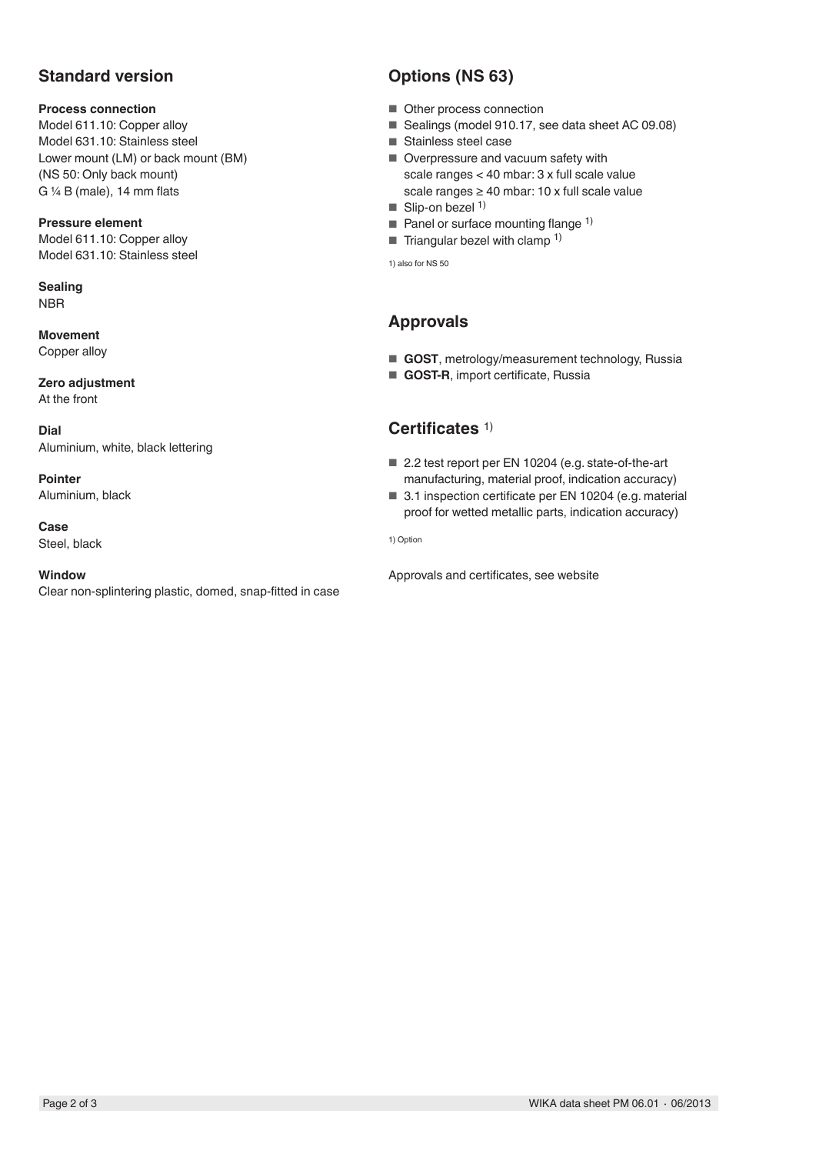# **Standard version**

#### **Process connection**

Model 611.10: Copper alloy Model 631.10: Stainless steel Lower mount (LM) or back mount (BM) (NS 50: Only back mount) G  $\frac{1}{4}$  B (male), 14 mm flats

**Pressure element** Model 611.10: Copper alloy

Model 631.10: Stainless steel

**Sealing** NBR

**Movement** Copper alloy

**Zero adjustment** At the front

**Dial** Aluminium, white, black lettering

**Pointer** Aluminium, black

**Case** Steel, black

**Window**

Clear non-splintering plastic, domed, snap-fitted in case

# **Options (NS 63)**

- Other process connection
- Sealings (model 910.17, see data sheet AC 09.08)
- Stainless steel case
- Overpressure and vacuum safety with scale ranges < 40 mbar: 3 x full scale value scale ranges ≥ 40 mbar: 10 x full scale value
- $\blacksquare$  Slip-on bezel <sup>1)</sup>
- Panel or surface mounting flange  $1$ )
- Triangular bezel with clamp  $1$ )

1) also for NS 50

# **Approvals**

- **GOST**, metrology/measurement technology, Russia
- **GOST-R**, import certificate, Russia

# **Certificates** 1)

- 2.2 test report per EN 10204 (e.g. state-of-the-art manufacturing, material proof, indication accuracy)
- 3.1 inspection certificate per EN 10204 (e.g. material proof for wetted metallic parts, indication accuracy)

1) Option

Approvals and certificates, see website